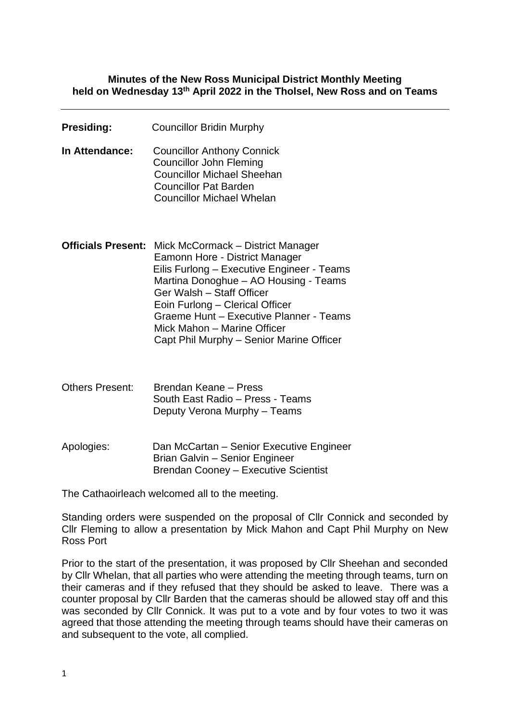#### **Minutes of the New Ross Municipal District Monthly Meeting held on Wednesday 13th April 2022 in the Tholsel, New Ross and on Teams**

| <b>Presiding:</b>         | <b>Councillor Bridin Murphy</b>                                                                                                                                                                                                                                                                                                                  |
|---------------------------|--------------------------------------------------------------------------------------------------------------------------------------------------------------------------------------------------------------------------------------------------------------------------------------------------------------------------------------------------|
| In Attendance:            | <b>Councillor Anthony Connick</b><br><b>Councillor John Fleming</b><br><b>Councillor Michael Sheehan</b><br><b>Councillor Pat Barden</b><br><b>Councillor Michael Whelan</b>                                                                                                                                                                     |
| <b>Officials Present:</b> | Mick McCormack - District Manager<br>Eamonn Hore - District Manager<br>Eilis Furlong - Executive Engineer - Teams<br>Martina Donoghue - AO Housing - Teams<br>Ger Walsh - Staff Officer<br>Eoin Furlong - Clerical Officer<br>Graeme Hunt - Executive Planner - Teams<br>Mick Mahon - Marine Officer<br>Capt Phil Murphy - Senior Marine Officer |
| <b>Others Present:</b>    | Brendan Keane - Press<br>South East Radio - Press - Teams<br>Deputy Verona Murphy - Teams                                                                                                                                                                                                                                                        |
| Apologies:                | Dan McCartan - Senior Executive Engineer<br>Brian Galvin - Senior Engineer<br><b>Brendan Cooney - Executive Scientist</b>                                                                                                                                                                                                                        |

The Cathaoirleach welcomed all to the meeting.

Standing orders were suspended on the proposal of Cllr Connick and seconded by Cllr Fleming to allow a presentation by Mick Mahon and Capt Phil Murphy on New Ross Port

Prior to the start of the presentation, it was proposed by Cllr Sheehan and seconded by Cllr Whelan, that all parties who were attending the meeting through teams, turn on their cameras and if they refused that they should be asked to leave. There was a counter proposal by Cllr Barden that the cameras should be allowed stay off and this was seconded by Cllr Connick. It was put to a vote and by four votes to two it was agreed that those attending the meeting through teams should have their cameras on and subsequent to the vote, all complied.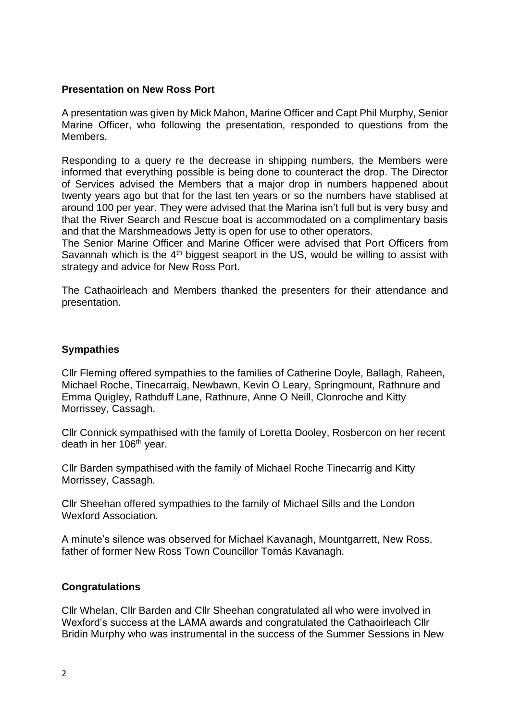#### **Presentation on New Ross Port**

A presentation was given by Mick Mahon, Marine Officer and Capt Phil Murphy, Senior Marine Officer, who following the presentation, responded to questions from the Members.

Responding to a query re the decrease in shipping numbers, the Members were informed that everything possible is being done to counteract the drop. The Director of Services advised the Members that a major drop in numbers happened about twenty years ago but that for the last ten years or so the numbers have stablised at around 100 per year. They were advised that the Marina isn't full but is very busy and that the River Search and Rescue boat is accommodated on a complimentary basis and that the Marshmeadows Jetty is open for use to other operators.

The Senior Marine Officer and Marine Officer were advised that Port Officers from Savannah which is the  $4<sup>th</sup>$  biggest seaport in the US, would be willing to assist with strategy and advice for New Ross Port.

The Cathaoirleach and Members thanked the presenters for their attendance and presentation.

#### **Sympathies**

Cllr Fleming offered sympathies to the families of Catherine Doyle, Ballagh, Raheen, Michael Roche, Tinecarraig, Newbawn, Kevin O Leary, Springmount, Rathnure and Emma Quigley, Rathduff Lane, Rathnure, Anne O Neill, Clonroche and Kitty Morrissey, Cassagh.

Cllr Connick sympathised with the family of Loretta Dooley, Rosbercon on her recent death in her 106<sup>th</sup> year.

Cllr Barden sympathised with the family of Michael Roche Tinecarrig and Kitty Morrissey, Cassagh.

Cllr Sheehan offered sympathies to the family of Michael Sills and the London Wexford Association.

A minute's silence was observed for Michael Kavanagh, Mountgarrett, New Ross, father of former New Ross Town Councillor Tomás Kavanagh.

#### **Congratulations**

Cllr Whelan, Cllr Barden and Cllr Sheehan congratulated all who were involved in Wexford's success at the LAMA awards and congratulated the Cathaoirleach Cllr Bridin Murphy who was instrumental in the success of the Summer Sessions in New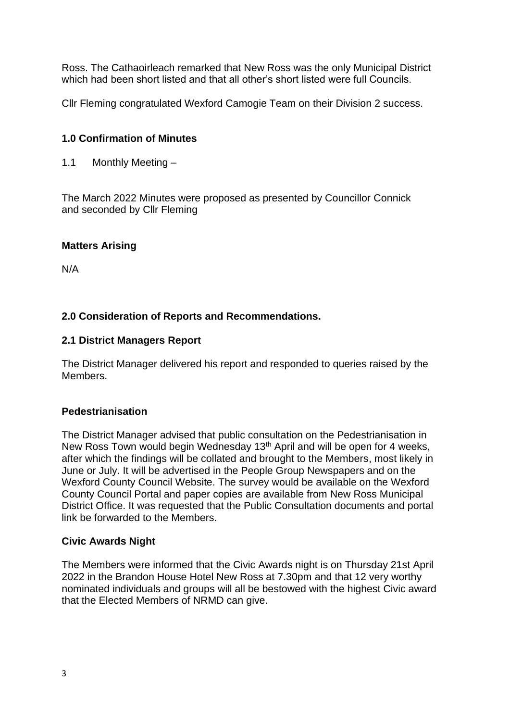Ross. The Cathaoirleach remarked that New Ross was the only Municipal District which had been short listed and that all other's short listed were full Councils.

Cllr Fleming congratulated Wexford Camogie Team on their Division 2 success.

# **1.0 Confirmation of Minutes**

1.1 Monthly Meeting –

The March 2022 Minutes were proposed as presented by Councillor Connick and seconded by Cllr Fleming

# **Matters Arising**

N/A

# **2.0 Consideration of Reports and Recommendations.**

### **2.1 District Managers Report**

The District Manager delivered his report and responded to queries raised by the Members.

#### **Pedestrianisation**

The District Manager advised that public consultation on the Pedestrianisation in New Ross Town would begin Wednesday 13<sup>th</sup> April and will be open for 4 weeks, after which the findings will be collated and brought to the Members, most likely in June or July. It will be advertised in the People Group Newspapers and on the Wexford County Council Website. The survey would be available on the Wexford County Council Portal and paper copies are available from New Ross Municipal District Office. It was requested that the Public Consultation documents and portal link be forwarded to the Members.

#### **Civic Awards Night**

The Members were informed that the Civic Awards night is on Thursday 21st April 2022 in the Brandon House Hotel New Ross at 7.30pm and that 12 very worthy nominated individuals and groups will all be bestowed with the highest Civic award that the Elected Members of NRMD can give.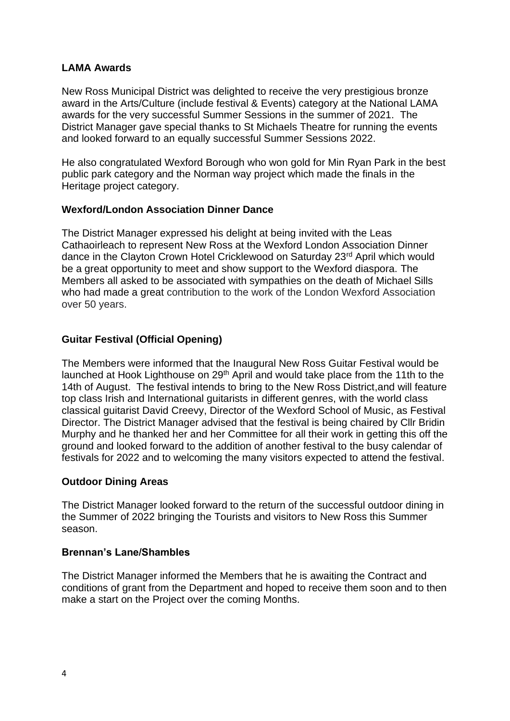### **LAMA Awards**

New Ross Municipal District was delighted to receive the very prestigious bronze award in the Arts/Culture (include festival & Events) category at the National LAMA awards for the very successful Summer Sessions in the summer of 2021. The District Manager gave special thanks to St Michaels Theatre for running the events and looked forward to an equally successful Summer Sessions 2022.

He also congratulated Wexford Borough who won gold for Min Ryan Park in the best public park category and the Norman way project which made the finals in the Heritage project category.

#### **Wexford/London Association Dinner Dance**

The District Manager expressed his delight at being invited with the Leas Cathaoirleach to represent New Ross at the Wexford London Association Dinner dance in the Clayton Crown Hotel Cricklewood on Saturday 23<sup>rd</sup> April which would be a great opportunity to meet and show support to the Wexford diaspora. The Members all asked to be associated with sympathies on the death of Michael Sills who had made a great contribution to the work of the London Wexford Association over 50 years.

# **Guitar Festival (Official Opening)**

The Members were informed that the Inaugural New Ross Guitar Festival would be launched at Hook Lighthouse on 29<sup>th</sup> April and would take place from the 11th to the 14th of August. The festival intends to bring to the New Ross District,and will feature top class Irish and International guitarists in different genres, with the world class classical guitarist David Creevy, Director of the Wexford School of Music, as Festival Director. The District Manager advised that the festival is being chaired by Cllr Bridin Murphy and he thanked her and her Committee for all their work in getting this off the ground and looked forward to the addition of another festival to the busy calendar of festivals for 2022 and to welcoming the many visitors expected to attend the festival.

#### **Outdoor Dining Areas**

The District Manager looked forward to the return of the successful outdoor dining in the Summer of 2022 bringing the Tourists and visitors to New Ross this Summer season.

#### **Brennan's Lane/Shambles**

The District Manager informed the Members that he is awaiting the Contract and conditions of grant from the Department and hoped to receive them soon and to then make a start on the Project over the coming Months.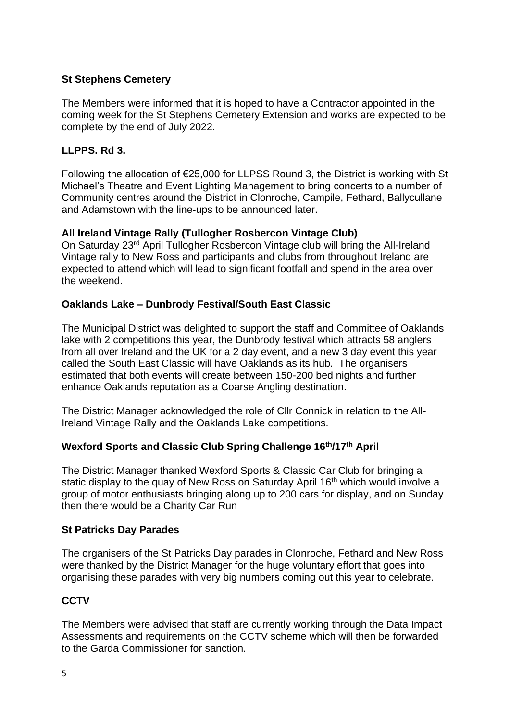# **St Stephens Cemetery**

The Members were informed that it is hoped to have a Contractor appointed in the coming week for the St Stephens Cemetery Extension and works are expected to be complete by the end of July 2022.

### **LLPPS. Rd 3.**

Following the allocation of €25,000 for LLPSS Round 3, the District is working with St Michael's Theatre and Event Lighting Management to bring concerts to a number of Community centres around the District in Clonroche, Campile, Fethard, Ballycullane and Adamstown with the line-ups to be announced later.

### **All Ireland Vintage Rally (Tullogher Rosbercon Vintage Club)**

On Saturday 23rd April Tullogher Rosbercon Vintage club will bring the All-Ireland Vintage rally to New Ross and participants and clubs from throughout Ireland are expected to attend which will lead to significant footfall and spend in the area over the weekend.

### **Oaklands Lake – Dunbrody Festival/South East Classic**

The Municipal District was delighted to support the staff and Committee of Oaklands lake with 2 competitions this year, the Dunbrody festival which attracts 58 anglers from all over Ireland and the UK for a 2 day event, and a new 3 day event this year called the South East Classic will have Oaklands as its hub. The organisers estimated that both events will create between 150-200 bed nights and further enhance Oaklands reputation as a Coarse Angling destination.

The District Manager acknowledged the role of Cllr Connick in relation to the All-Ireland Vintage Rally and the Oaklands Lake competitions.

# **Wexford Sports and Classic Club Spring Challenge 16th/17th April**

The District Manager thanked Wexford Sports & Classic Car Club for bringing a static display to the quay of New Ross on Saturday April 16<sup>th</sup> which would involve a group of motor enthusiasts bringing along up to 200 cars for display, and on Sunday then there would be a Charity Car Run

#### **St Patricks Day Parades**

The organisers of the St Patricks Day parades in Clonroche, Fethard and New Ross were thanked by the District Manager for the huge voluntary effort that goes into organising these parades with very big numbers coming out this year to celebrate.

#### **CCTV**

The Members were advised that staff are currently working through the Data Impact Assessments and requirements on the CCTV scheme which will then be forwarded to the Garda Commissioner for sanction.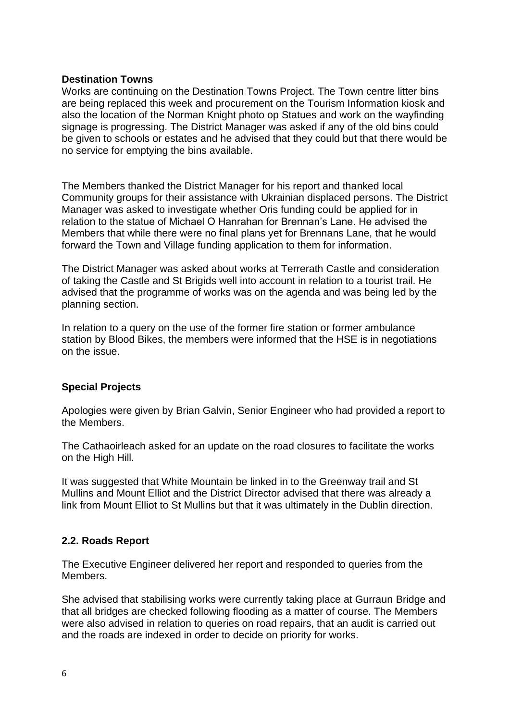#### **Destination Towns**

Works are continuing on the Destination Towns Project. The Town centre litter bins are being replaced this week and procurement on the Tourism Information kiosk and also the location of the Norman Knight photo op Statues and work on the wayfinding signage is progressing. The District Manager was asked if any of the old bins could be given to schools or estates and he advised that they could but that there would be no service for emptying the bins available.

The Members thanked the District Manager for his report and thanked local Community groups for their assistance with Ukrainian displaced persons. The District Manager was asked to investigate whether Oris funding could be applied for in relation to the statue of Michael O Hanrahan for Brennan's Lane. He advised the Members that while there were no final plans yet for Brennans Lane, that he would forward the Town and Village funding application to them for information.

The District Manager was asked about works at Terrerath Castle and consideration of taking the Castle and St Brigids well into account in relation to a tourist trail. He advised that the programme of works was on the agenda and was being led by the planning section.

In relation to a query on the use of the former fire station or former ambulance station by Blood Bikes, the members were informed that the HSE is in negotiations on the issue.

# **Special Projects**

Apologies were given by Brian Galvin, Senior Engineer who had provided a report to the Members.

The Cathaoirleach asked for an update on the road closures to facilitate the works on the High Hill.

It was suggested that White Mountain be linked in to the Greenway trail and St Mullins and Mount Elliot and the District Director advised that there was already a link from Mount Elliot to St Mullins but that it was ultimately in the Dublin direction.

#### **2.2. Roads Report**

The Executive Engineer delivered her report and responded to queries from the Members.

She advised that stabilising works were currently taking place at Gurraun Bridge and that all bridges are checked following flooding as a matter of course. The Members were also advised in relation to queries on road repairs, that an audit is carried out and the roads are indexed in order to decide on priority for works.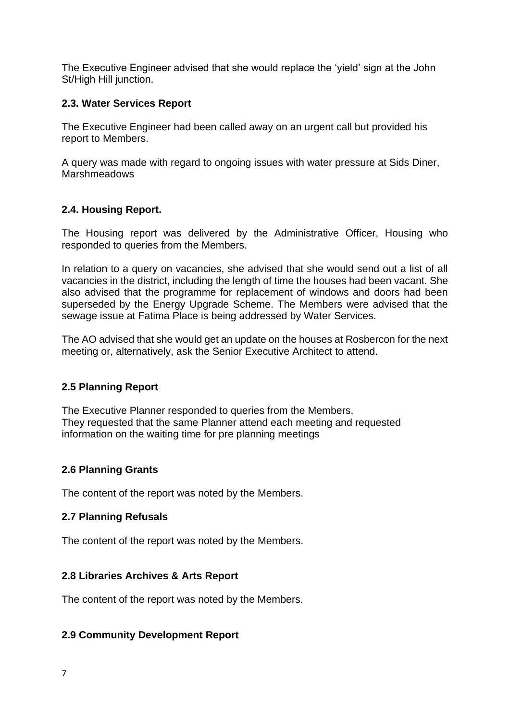The Executive Engineer advised that she would replace the 'yield' sign at the John St/High Hill junction.

# **2.3. Water Services Report**

The Executive Engineer had been called away on an urgent call but provided his report to Members.

A query was made with regard to ongoing issues with water pressure at Sids Diner, **Marshmeadows** 

# **2.4. Housing Report.**

The Housing report was delivered by the Administrative Officer, Housing who responded to queries from the Members.

In relation to a query on vacancies, she advised that she would send out a list of all vacancies in the district, including the length of time the houses had been vacant. She also advised that the programme for replacement of windows and doors had been superseded by the Energy Upgrade Scheme. The Members were advised that the sewage issue at Fatima Place is being addressed by Water Services.

The AO advised that she would get an update on the houses at Rosbercon for the next meeting or, alternatively, ask the Senior Executive Architect to attend.

# **2.5 Planning Report**

The Executive Planner responded to queries from the Members. They requested that the same Planner attend each meeting and requested information on the waiting time for pre planning meetings

# **2.6 Planning Grants**

The content of the report was noted by the Members.

# **2.7 Planning Refusals**

The content of the report was noted by the Members.

# **2.8 Libraries Archives & Arts Report**

The content of the report was noted by the Members.

# **2.9 Community Development Report**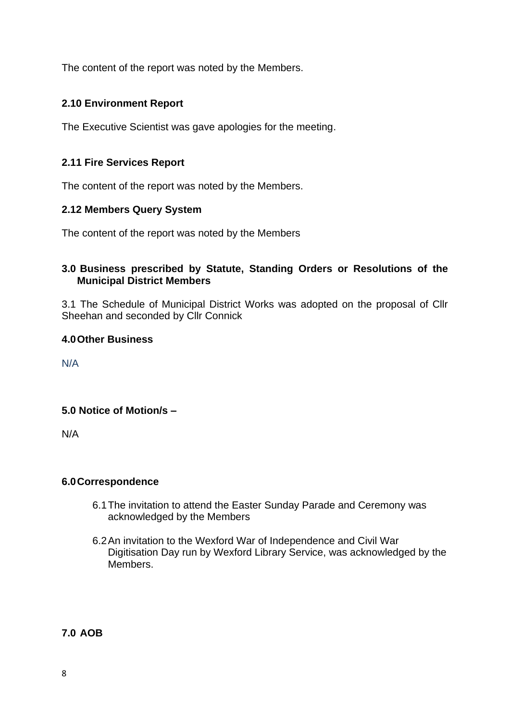The content of the report was noted by the Members.

# **2.10 Environment Report**

The Executive Scientist was gave apologies for the meeting.

# **2.11 Fire Services Report**

The content of the report was noted by the Members.

### **2.12 Members Query System**

The content of the report was noted by the Members

### **3.0 Business prescribed by Statute, Standing Orders or Resolutions of the Municipal District Members**

3.1 The Schedule of Municipal District Works was adopted on the proposal of Cllr Sheehan and seconded by Cllr Connick

### **4.0Other Business**

N/A

# **5.0 Notice of Motion/s –**

N/A

# **6.0Correspondence**

- 6.1The invitation to attend the Easter Sunday Parade and Ceremony was acknowledged by the Members
- 6.2An invitation to the Wexford War of Independence and Civil War Digitisation Day run by Wexford Library Service, was acknowledged by the **Members**

**7.0 AOB**